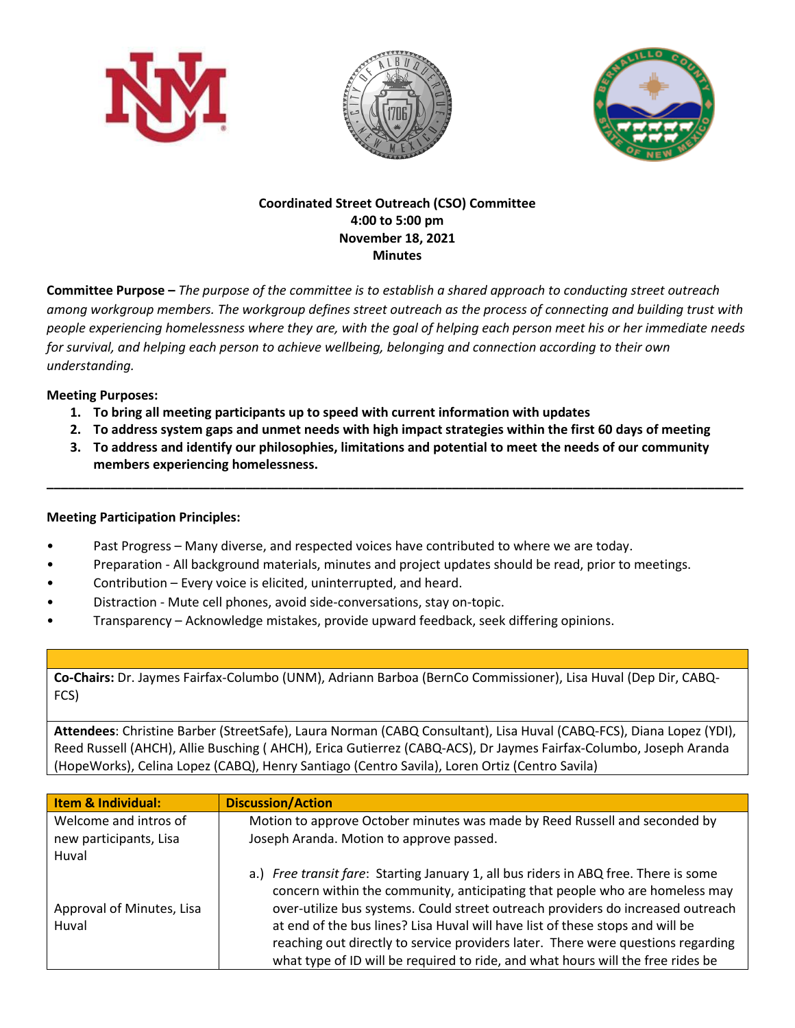





## **Coordinated Street Outreach (CSO) Committee 4:00 to 5:00 pm November 18, 2021 Minutes**

**Committee Purpose –** *The purpose of the committee is to establish a shared approach to conducting street outreach among workgroup members. The workgroup defines street outreach as the process of connecting and building trust with people experiencing homelessness where they are, with the goal of helping each person meet his or her immediate needs for survival, and helping each person to achieve wellbeing, belonging and connection according to their own understanding.*

## **Meeting Purposes:**

- **1. To bring all meeting participants up to speed with current information with updates**
- **2. To address system gaps and unmet needs with high impact strategies within the first 60 days of meeting**
- **3. To address and identify our philosophies, limitations and potential to meet the needs of our community members experiencing homelessness.**

**\_\_\_\_\_\_\_\_\_\_\_\_\_\_\_\_\_\_\_\_\_\_\_\_\_\_\_\_\_\_\_\_\_\_\_\_\_\_\_\_\_\_\_\_\_\_\_\_\_\_\_\_\_\_\_\_\_\_\_\_\_\_\_\_\_\_\_\_\_\_\_\_\_\_\_\_\_\_\_\_\_\_\_\_\_\_\_\_\_\_\_\_\_\_\_\_\_\_**

## **Meeting Participation Principles:**

- Past Progress Many diverse, and respected voices have contributed to where we are today.
- Preparation All background materials, minutes and project updates should be read, prior to meetings.
- Contribution Every voice is elicited, uninterrupted, and heard.
- Distraction Mute cell phones, avoid side-conversations, stay on-topic.
- Transparency Acknowledge mistakes, provide upward feedback, seek differing opinions.

**Co-Chairs:** Dr. Jaymes Fairfax-Columbo (UNM), Adriann Barboa (BernCo Commissioner), Lisa Huval (Dep Dir, CABQ-FCS)

**Attendees**: Christine Barber (StreetSafe), Laura Norman (CABQ Consultant), Lisa Huval (CABQ-FCS), Diana Lopez (YDI), Reed Russell (AHCH), Allie Busching ( AHCH), Erica Gutierrez (CABQ-ACS), Dr Jaymes Fairfax-Columbo, Joseph Aranda (HopeWorks), Celina Lopez (CABQ), Henry Santiago (Centro Savila), Loren Ortiz (Centro Savila)

| <b>Item &amp; Individual:</b>      | <b>Discussion/Action</b>                                                                                                                                                                                                                                                                                                                                                                                                                                                                                       |
|------------------------------------|----------------------------------------------------------------------------------------------------------------------------------------------------------------------------------------------------------------------------------------------------------------------------------------------------------------------------------------------------------------------------------------------------------------------------------------------------------------------------------------------------------------|
| Welcome and intros of              | Motion to approve October minutes was made by Reed Russell and seconded by                                                                                                                                                                                                                                                                                                                                                                                                                                     |
| new participants, Lisa             | Joseph Aranda. Motion to approve passed.                                                                                                                                                                                                                                                                                                                                                                                                                                                                       |
| Huval                              |                                                                                                                                                                                                                                                                                                                                                                                                                                                                                                                |
| Approval of Minutes, Lisa<br>Huval | a.) Free transit fare: Starting January 1, all bus riders in ABQ free. There is some<br>concern within the community, anticipating that people who are homeless may<br>over-utilize bus systems. Could street outreach providers do increased outreach<br>at end of the bus lines? Lisa Huval will have list of these stops and will be<br>reaching out directly to service providers later. There were questions regarding<br>what type of ID will be required to ride, and what hours will the free rides be |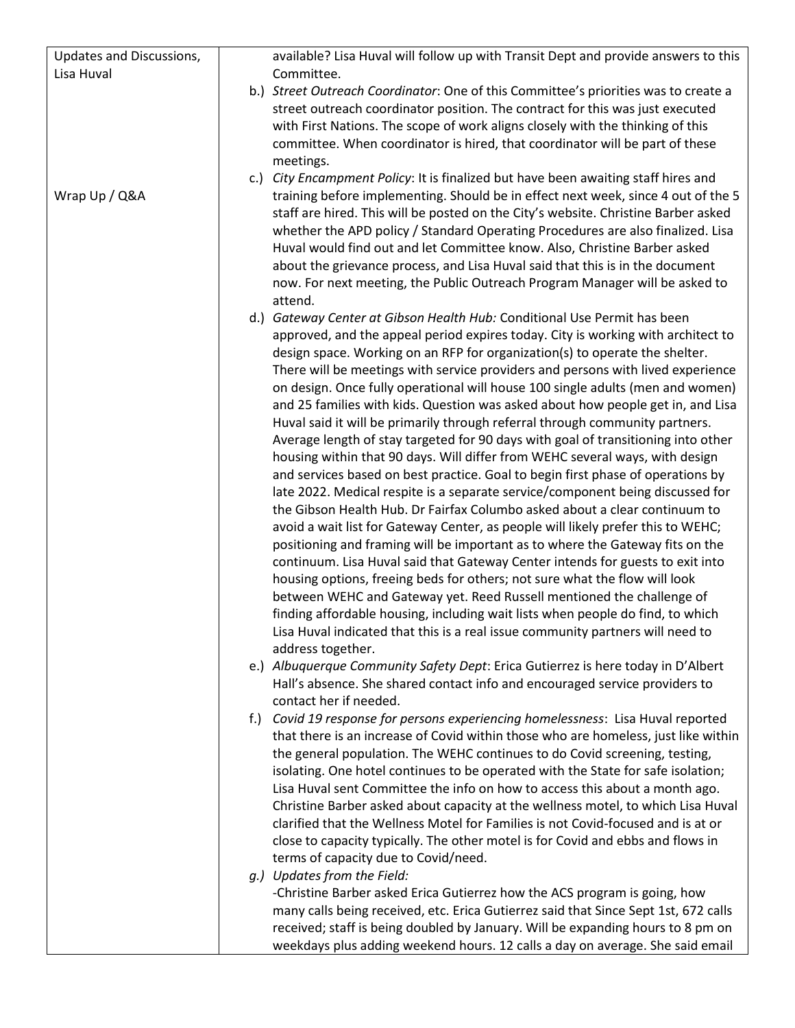| Updates and Discussions, | available? Lisa Huval will follow up with Transit Dept and provide answers to this                                                                                                                                                                                                                                                                                                                                                                                                                                                                                                                                                                                                                                                                                                                                                                                                                                                                                                                                                                                                                                                                                                                                                                                                                                                                                                                                                                                                                                                                                                                                                                                                                                                                                                                                                                                                                                                                                                                                                                                                                                                                                                                                                                                                                                                                                                                                                                                                                                                                                                                                                                                                                                                                                                                                                  |
|--------------------------|-------------------------------------------------------------------------------------------------------------------------------------------------------------------------------------------------------------------------------------------------------------------------------------------------------------------------------------------------------------------------------------------------------------------------------------------------------------------------------------------------------------------------------------------------------------------------------------------------------------------------------------------------------------------------------------------------------------------------------------------------------------------------------------------------------------------------------------------------------------------------------------------------------------------------------------------------------------------------------------------------------------------------------------------------------------------------------------------------------------------------------------------------------------------------------------------------------------------------------------------------------------------------------------------------------------------------------------------------------------------------------------------------------------------------------------------------------------------------------------------------------------------------------------------------------------------------------------------------------------------------------------------------------------------------------------------------------------------------------------------------------------------------------------------------------------------------------------------------------------------------------------------------------------------------------------------------------------------------------------------------------------------------------------------------------------------------------------------------------------------------------------------------------------------------------------------------------------------------------------------------------------------------------------------------------------------------------------------------------------------------------------------------------------------------------------------------------------------------------------------------------------------------------------------------------------------------------------------------------------------------------------------------------------------------------------------------------------------------------------------------------------------------------------------------------------------------------------|
| Lisa Huval               | Committee.                                                                                                                                                                                                                                                                                                                                                                                                                                                                                                                                                                                                                                                                                                                                                                                                                                                                                                                                                                                                                                                                                                                                                                                                                                                                                                                                                                                                                                                                                                                                                                                                                                                                                                                                                                                                                                                                                                                                                                                                                                                                                                                                                                                                                                                                                                                                                                                                                                                                                                                                                                                                                                                                                                                                                                                                                          |
|                          | b.) Street Outreach Coordinator: One of this Committee's priorities was to create a<br>street outreach coordinator position. The contract for this was just executed<br>with First Nations. The scope of work aligns closely with the thinking of this<br>committee. When coordinator is hired, that coordinator will be part of these<br>meetings.                                                                                                                                                                                                                                                                                                                                                                                                                                                                                                                                                                                                                                                                                                                                                                                                                                                                                                                                                                                                                                                                                                                                                                                                                                                                                                                                                                                                                                                                                                                                                                                                                                                                                                                                                                                                                                                                                                                                                                                                                                                                                                                                                                                                                                                                                                                                                                                                                                                                                 |
| Wrap Up / Q&A            | c.) City Encampment Policy: It is finalized but have been awaiting staff hires and<br>training before implementing. Should be in effect next week, since 4 out of the 5<br>staff are hired. This will be posted on the City's website. Christine Barber asked<br>whether the APD policy / Standard Operating Procedures are also finalized. Lisa<br>Huval would find out and let Committee know. Also, Christine Barber asked<br>about the grievance process, and Lisa Huval said that this is in the document<br>now. For next meeting, the Public Outreach Program Manager will be asked to<br>attend.                                                                                                                                                                                                                                                                                                                                                                                                                                                                                                                                                                                                                                                                                                                                                                                                                                                                                                                                                                                                                                                                                                                                                                                                                                                                                                                                                                                                                                                                                                                                                                                                                                                                                                                                                                                                                                                                                                                                                                                                                                                                                                                                                                                                                            |
|                          | d.) Gateway Center at Gibson Health Hub: Conditional Use Permit has been<br>approved, and the appeal period expires today. City is working with architect to<br>design space. Working on an RFP for organization(s) to operate the shelter.<br>There will be meetings with service providers and persons with lived experience<br>on design. Once fully operational will house 100 single adults (men and women)<br>and 25 families with kids. Question was asked about how people get in, and Lisa<br>Huval said it will be primarily through referral through community partners.<br>Average length of stay targeted for 90 days with goal of transitioning into other<br>housing within that 90 days. Will differ from WEHC several ways, with design<br>and services based on best practice. Goal to begin first phase of operations by<br>late 2022. Medical respite is a separate service/component being discussed for<br>the Gibson Health Hub. Dr Fairfax Columbo asked about a clear continuum to<br>avoid a wait list for Gateway Center, as people will likely prefer this to WEHC;<br>positioning and framing will be important as to where the Gateway fits on the<br>continuum. Lisa Huval said that Gateway Center intends for guests to exit into<br>housing options, freeing beds for others; not sure what the flow will look<br>between WEHC and Gateway yet. Reed Russell mentioned the challenge of<br>finding affordable housing, including wait lists when people do find, to which<br>Lisa Huval indicated that this is a real issue community partners will need to<br>address together.<br>e.) Albuquerque Community Safety Dept: Erica Gutierrez is here today in D'Albert<br>Hall's absence. She shared contact info and encouraged service providers to<br>contact her if needed.<br>f.) Covid 19 response for persons experiencing homelessness: Lisa Huval reported<br>that there is an increase of Covid within those who are homeless, just like within<br>the general population. The WEHC continues to do Covid screening, testing,<br>isolating. One hotel continues to be operated with the State for safe isolation;<br>Lisa Huval sent Committee the info on how to access this about a month ago.<br>Christine Barber asked about capacity at the wellness motel, to which Lisa Huval<br>clarified that the Wellness Motel for Families is not Covid-focused and is at or<br>close to capacity typically. The other motel is for Covid and ebbs and flows in<br>terms of capacity due to Covid/need.<br>g.) Updates from the Field:<br>-Christine Barber asked Erica Gutierrez how the ACS program is going, how<br>many calls being received, etc. Erica Gutierrez said that Since Sept 1st, 672 calls<br>received; staff is being doubled by January. Will be expanding hours to 8 pm on |
|                          | weekdays plus adding weekend hours. 12 calls a day on average. She said email                                                                                                                                                                                                                                                                                                                                                                                                                                                                                                                                                                                                                                                                                                                                                                                                                                                                                                                                                                                                                                                                                                                                                                                                                                                                                                                                                                                                                                                                                                                                                                                                                                                                                                                                                                                                                                                                                                                                                                                                                                                                                                                                                                                                                                                                                                                                                                                                                                                                                                                                                                                                                                                                                                                                                       |